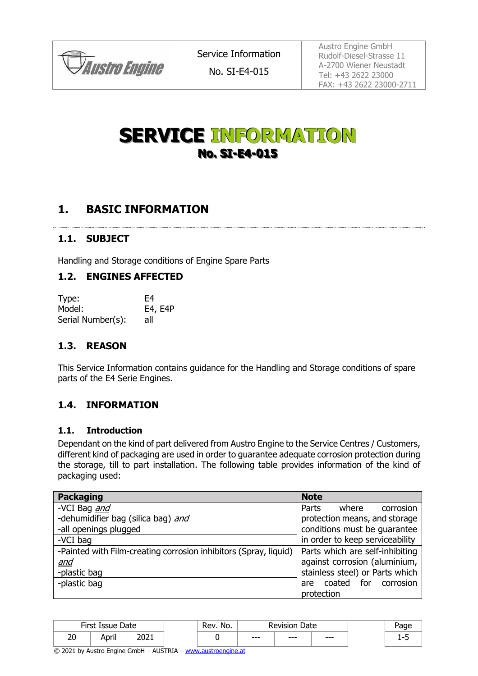

Austro Engine GmbH Rudolf-Diesel-Strasse 11 A-2700 Wiener Neustadt Tel: +43 2622 23000 FAX: +43 2622 23000-2711

# **SERVICE INFORMATION No. SI-E4-015**

# **1. BASIC INFORMATION**

## **1.1. SUBJECT**

Handling and Storage conditions of Engine Spare Parts

## **1.2. ENGINES AFFECTED**

| Type:             | F4      |
|-------------------|---------|
| Model:            | E4, E4P |
| Serial Number(s): | all     |

#### **1.3. REASON**

This Service Information contains guidance for the Handling and Storage conditions of spare parts of the E4 Serie Engines.

## **1.4. INFORMATION**

#### **1.1. Introduction**

Dependant on the kind of part delivered from Austro Engine to the Service Centres / Customers, different kind of packaging are used in order to guarantee adequate corrosion protection during the storage, till to part installation. The following table provides information of the kind of packaging used:

| <b>Packaging</b>                                                 | <b>Note</b>                     |
|------------------------------------------------------------------|---------------------------------|
| -VCI Bag and                                                     | Parts<br>corrosion<br>where     |
| -dehumidifier bag (silica bag) and                               | protection means, and storage   |
| -all openings plugged                                            | conditions must be quarantee    |
| -VCI bag                                                         | in order to keep serviceability |
| -Painted with Film-creating corrosion inhibitors (Spray, liquid) | Parts which are self-inhibiting |
| <u>and</u>                                                       | against corrosion (aluminium,   |
| -plastic bag                                                     | stainless steel) or Parts which |
| -plastic bag                                                     | coated for corrosion<br>are     |
|                                                                  | protection                      |

|           | First Is<br>Issue  | Date  | No.<br>Rev |      | Date<br><b>Revision</b> |       |  |  |
|-----------|--------------------|-------|------------|------|-------------------------|-------|--|--|
| nn.<br>∠∪ | <br>$\sim$<br>чргн | י המר |            | $--$ | $--$                    | $---$ |  |  |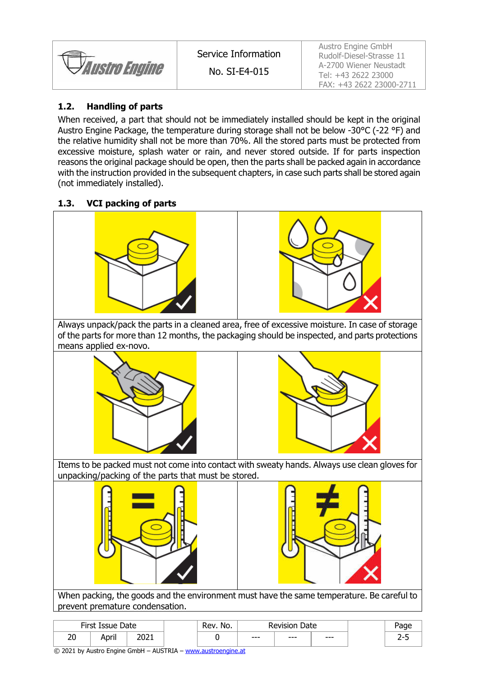

Austro Engine GmbH Rudolf-Diesel-Strasse 11 A-2700 Wiener Neustadt Tel: +43 2622 23000 FAX: +43 2622 23000-2711

#### **1.2. Handling of parts**

When received, a part that should not be immediately installed should be kept in the original Austro Engine Package, the temperature during storage shall not be below -30°C (-22 °F) and the relative humidity shall not be more than 70%. All the stored parts must be protected from excessive moisture, splash water or rain, and never stored outside. If for parts inspection reasons the original package should be open, then the parts shall be packed again in accordance with the instruction provided in the subsequent chapters, in case such parts shall be stored again (not immediately installed).

#### **1.3. VCI packing of parts**



prevent premature condensation.

| First Issue<br>Date |         | No.<br>kev. | <b>Revision</b><br>Date |      |      |         |   |
|---------------------|---------|-------------|-------------------------|------|------|---------|---|
| ົ<br>ΖU             | <br>--- | רמר         |                         | $--$ | $--$ | $- - -$ | - |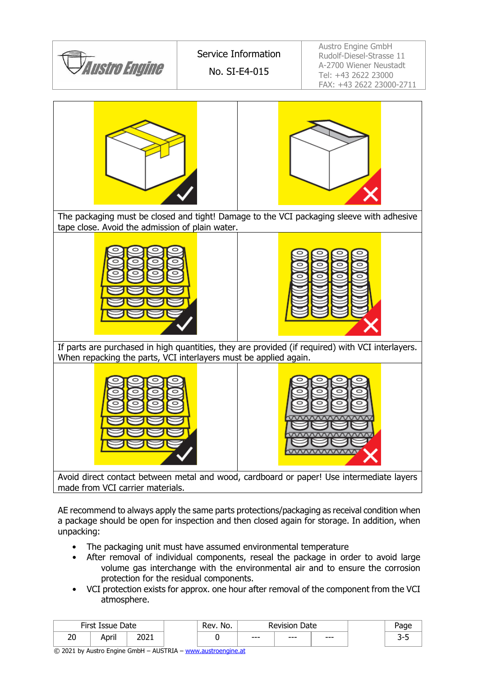

made from VCI carrier materials.

AE recommend to always apply the same parts protections/packaging as receival condition when a package should be open for inspection and then closed again for storage. In addition, when unpacking:

- The packaging unit must have assumed environmental temperature
- After removal of individual components, reseal the package in order to avoid large volume gas interchange with the environmental air and to ensure the corrosion protection for the residual components.
- VCI protection exists for approx. one hour after removal of the component from the VCI atmosphere.

|          | First Issue<br>No.<br>Date<br><b>Revision Date</b><br>Rev. |              |  |  |      |      |      |   |
|----------|------------------------------------------------------------|--------------|--|--|------|------|------|---|
| חר<br>۷J | .<br>April                                                 | י החר<br>ᅩ∪ㄥ |  |  | $--$ | $--$ | $--$ | ້ |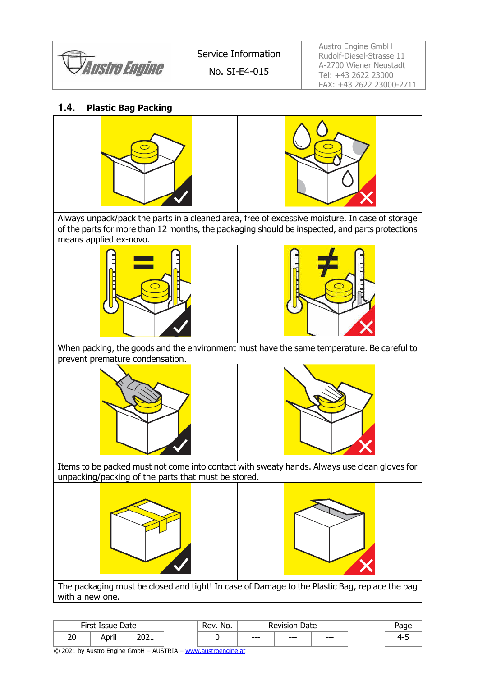

Austro Engine GmbH Rudolf-Diesel-Strasse 11 A-2700 Wiener Neustadt Tel: +43 2622 23000 FAX: +43 2622 23000-2711

## **1.4. Plastic Bag Packing**





Always unpack/pack the parts in a cleaned area, free of excessive moisture. In case of storage of the parts for more than 12 months, the packaging should be inspected, and parts protections means applied ex-novo.





When packing, the goods and the environment must have the same temperature. Be careful to prevent premature condensation.





Items to be packed must not come into contact with sweaty hands. Always use clean gloves for unpacking/packing of the parts that must be stored.





The packaging must be closed and tight! In case of Damage to the Plastic Bag, replace the bag with a new one.

|          | First Issue<br>Date |               | No.<br>Rev. | Date<br><b>Revision</b> |      |     |    |
|----------|---------------------|---------------|-------------|-------------------------|------|-----|----|
| הר<br>۷J | $\sim$<br>April     | י המר<br>ᅩᇰᄼᅩ |             | $--$                    | $--$ | --- | -4 |